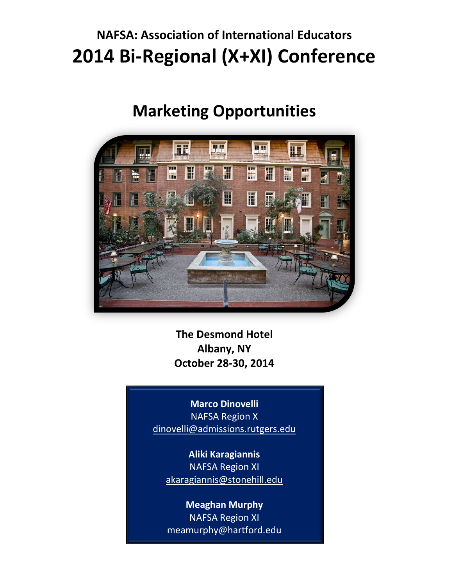### **NAFSA: Association of International Educators 2014 Bi-Regional (X+XI) [Conference](http://www.nafsa.org/Connect_and_Network/Engage_with_a_Community/NAFSA_Regions/Biregional_X_XI/Regions_X___XI_Conference/)**

### **Marketing Opportunities**



**The Desmond Hotel Albany, NY October 28-30, 2014**

**Marco Dinovelli** NAFSA Region X [dinovelli@admissions.rutgers.edu](mailto:dinovelli@admissions.rutgers.edu)

**Aliki Karagiannis** NAFSA Region XI [akaragiannis@stonehill.edu](mailto:akaragiannis@stonehill.edu)

**Meaghan Murphy** NAFSA Region XI meamurphy@hartford.edu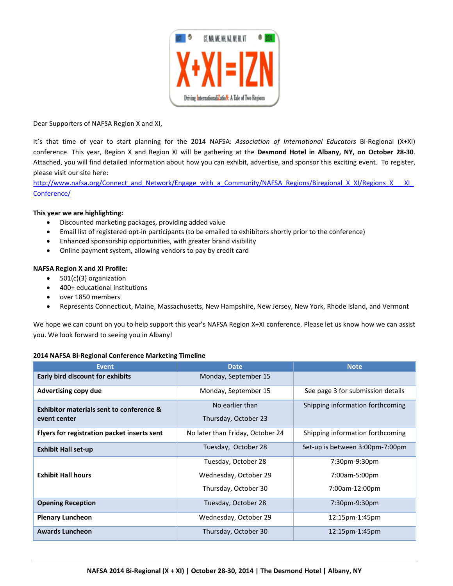

Dear Supporters of NAFSA Region X and XI,

It's that time of year to start planning for the 2014 NAFSA: *Association of International Educators* Bi-Regional (X+XI) conference. This year, Region X and Region XI will be gathering at the **Desmond Hotel in Albany, NY, on October 28-30**. Attached, you will find detailed information about how you can exhibit, advertise, and sponsor this exciting event. To register, please visit our site here:

[http://www.nafsa.org/Connect\\_and\\_Network/Engage\\_with\\_a\\_Community/NAFSA\\_Regions/Biregional\\_X\\_XI/Regions\\_X\\_\\_\\_XI\\_](http://www.nafsa.org/Connect_and_Network/Engage_with_a_Community/NAFSA_Regions/Biregional_X_XI/Regions_X___XI_Conference/) [Conference/](http://www.nafsa.org/Connect_and_Network/Engage_with_a_Community/NAFSA_Regions/Biregional_X_XI/Regions_X___XI_Conference/)

#### **This year we are highlighting:**

- Discounted marketing packages, providing added value
- Email list of registered opt-in participants (to be emailed to exhibitors shortly prior to the conference)
- Enhanced sponsorship opportunities, with greater brand visibility
- Online payment system, allowing vendors to pay by credit card

#### **NAFSA Region X and XI Profile:**

- 501(c)(3) organization
- 400+ educational institutions
- over 1850 members
- Represents Connecticut, Maine, Massachusetts, New Hampshire, New Jersey, New York, Rhode Island, and Vermont

We hope we can count on you to help support this year's NAFSA Region X+XI conference. Please let us know how we can assist you. We look forward to seeing you in Albany!

#### **2014 NAFSA Bi-Regional Conference Marketing Timeline**

| <b>Event</b>                                | <b>Date</b>                      | <b>Note</b>                       |
|---------------------------------------------|----------------------------------|-----------------------------------|
| <b>Early bird discount for exhibits</b>     | Monday, September 15             |                                   |
| <b>Advertising copy due</b>                 | Monday, September 15             | See page 3 for submission details |
| Exhibitor materials sent to conference &    | No earlier than                  | Shipping information forthcoming  |
| event center                                | Thursday, October 23             |                                   |
| Flyers for registration packet inserts sent | No later than Friday, October 24 | Shipping information forthcoming  |
| <b>Exhibit Hall set-up</b>                  | Tuesday, October 28              | Set-up is between 3:00pm-7:00pm   |
|                                             | Tuesday, October 28              | 7:30pm-9:30pm                     |
| <b>Exhibit Hall hours</b>                   | Wednesday, October 29            | 7:00am-5:00pm                     |
|                                             | Thursday, October 30             | 7:00am-12:00pm                    |
| <b>Opening Reception</b>                    | Tuesday, October 28              | 7:30pm-9:30pm                     |
| <b>Plenary Luncheon</b>                     | Wednesday, October 29            | 12:15pm-1:45pm                    |
| <b>Awards Luncheon</b>                      | Thursday, October 30             | $12:15$ pm-1:45pm                 |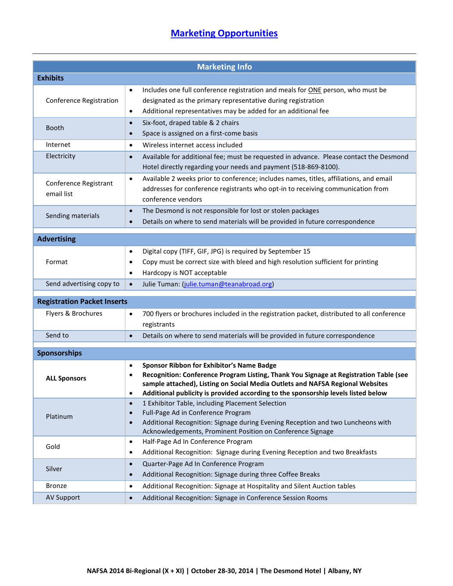### **[Marketing Opportunities](http://www.nafsa.org/Connect_and_Network/Engage_with_a_Community/NAFSA_Regions/Biregional_X_XI/Regions_X___XI_Conference/)**

| <b>Marketing Info</b>               |                                                                                                                                                                                                                                                                                                                                                |  |  |  |
|-------------------------------------|------------------------------------------------------------------------------------------------------------------------------------------------------------------------------------------------------------------------------------------------------------------------------------------------------------------------------------------------|--|--|--|
| <b>Exhibits</b>                     |                                                                                                                                                                                                                                                                                                                                                |  |  |  |
| <b>Conference Registration</b>      | Includes one full conference registration and meals for ONE person, who must be<br>$\bullet$<br>designated as the primary representative during registration<br>Additional representatives may be added for an additional fee<br>$\bullet$                                                                                                     |  |  |  |
| Booth                               | Six-foot, draped table & 2 chairs<br>$\bullet$<br>Space is assigned on a first-come basis<br>$\bullet$                                                                                                                                                                                                                                         |  |  |  |
| Internet                            | Wireless internet access included<br>$\bullet$                                                                                                                                                                                                                                                                                                 |  |  |  |
| Electricity                         | Available for additional fee; must be requested in advance. Please contact the Desmond<br>$\bullet$<br>Hotel directly regarding your needs and payment (518-869-8100).                                                                                                                                                                         |  |  |  |
| Conference Registrant<br>email list | Available 2 weeks prior to conference; includes names, titles, affiliations, and email<br>$\bullet$<br>addresses for conference registrants who opt-in to receiving communication from<br>conference vendors                                                                                                                                   |  |  |  |
| Sending materials                   | The Desmond is not responsible for lost or stolen packages<br>$\bullet$<br>Details on where to send materials will be provided in future correspondence<br>$\bullet$                                                                                                                                                                           |  |  |  |
| <b>Advertising</b>                  |                                                                                                                                                                                                                                                                                                                                                |  |  |  |
| Format                              | Digital copy (TIFF, GIF, JPG) is required by September 15<br>$\bullet$<br>Copy must be correct size with bleed and high resolution sufficient for printing<br>٠<br>Hardcopy is NOT acceptable<br>$\bullet$                                                                                                                                     |  |  |  |
| Send advertising copy to            | Julie Tuman: (julie.tuman@teanabroad.org)<br>$\bullet$                                                                                                                                                                                                                                                                                         |  |  |  |
| <b>Registration Packet Inserts</b>  |                                                                                                                                                                                                                                                                                                                                                |  |  |  |
| Flyers & Brochures                  | 700 flyers or brochures included in the registration packet, distributed to all conference<br>$\bullet$<br>registrants                                                                                                                                                                                                                         |  |  |  |
| Send to                             | Details on where to send materials will be provided in future correspondence<br>$\bullet$                                                                                                                                                                                                                                                      |  |  |  |
| <b>Sponsorships</b>                 |                                                                                                                                                                                                                                                                                                                                                |  |  |  |
| <b>ALL Sponsors</b>                 | <b>Sponsor Ribbon for Exhibitor's Name Badge</b><br>٠<br>Recognition: Conference Program Listing, Thank You Signage at Registration Table (see<br>$\bullet$<br>sample attached), Listing on Social Media Outlets and NAFSA Regional Websites<br>Additional publicity is provided according to the sponsorship levels listed below<br>$\bullet$ |  |  |  |
| Platinum                            | 1 Exhibitor Table, including Placement Selection<br>$\bullet$<br>Full-Page Ad in Conference Program<br>$\bullet$<br>Additional Recognition: Signage during Evening Reception and two Luncheons with<br>$\bullet$<br>Acknowledgements, Prominent Position on Conference Signage                                                                 |  |  |  |
| Gold                                | Half-Page Ad In Conference Program<br>$\bullet$<br>Additional Recognition: Signage during Evening Reception and two Breakfasts<br>٠                                                                                                                                                                                                            |  |  |  |
| Silver                              | Quarter-Page Ad In Conference Program<br>$\bullet$<br>Additional Recognition: Signage during three Coffee Breaks<br>$\bullet$                                                                                                                                                                                                                  |  |  |  |
| <b>Bronze</b>                       | Additional Recognition: Signage at Hospitality and Silent Auction tables<br>$\bullet$                                                                                                                                                                                                                                                          |  |  |  |
| <b>AV Support</b>                   | Additional Recognition: Signage in Conference Session Rooms<br>$\bullet$                                                                                                                                                                                                                                                                       |  |  |  |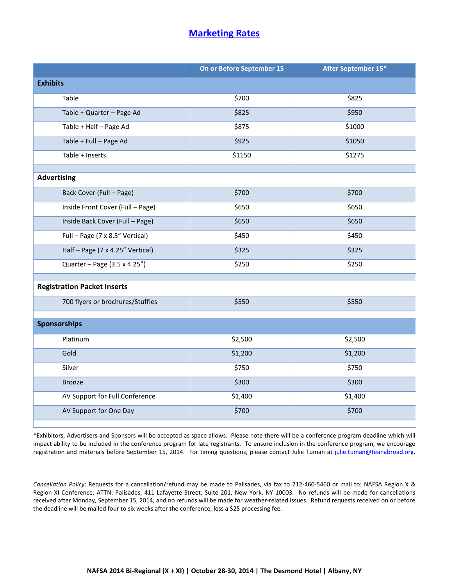#### **[Marketing Rates](http://www.nafsa.org/Connect_and_Network/Engage_with_a_Community/NAFSA_Regions/Biregional_X_XI/Regions_X___XI_Conference/)**

|                                    | On or Before September 15 | After September 15* |  |  |
|------------------------------------|---------------------------|---------------------|--|--|
| <b>Exhibits</b>                    |                           |                     |  |  |
| Table                              | \$700                     | \$825               |  |  |
| Table + Quarter - Page Ad          | \$825                     | \$950               |  |  |
| Table + Half - Page Ad             | \$875                     | \$1000              |  |  |
| Table + Full - Page Ad             | \$925                     | \$1050              |  |  |
| Table + Inserts                    | \$1150                    | \$1275              |  |  |
| <b>Advertising</b>                 |                           |                     |  |  |
|                                    |                           |                     |  |  |
| Back Cover (Full - Page)           | \$700                     | \$700               |  |  |
| Inside Front Cover (Full - Page)   | \$650                     | \$650               |  |  |
| Inside Back Cover (Full - Page)    | \$650                     | \$650               |  |  |
| Full - Page (7 x 8.5" Vertical)    | \$450                     | \$450               |  |  |
| Half-Page (7 x 4.25" Vertical)     | \$325                     | \$325               |  |  |
| Quarter - Page (3.5 x 4.25")       | \$250                     | \$250               |  |  |
|                                    |                           |                     |  |  |
| <b>Registration Packet Inserts</b> |                           |                     |  |  |
| 700 flyers or brochures/Stuffies   | \$550                     | \$550               |  |  |
| <b>Sponsorships</b>                |                           |                     |  |  |
|                                    |                           |                     |  |  |
| Platinum                           | \$2,500                   | \$2,500             |  |  |
| Gold                               | \$1,200                   | \$1,200             |  |  |
| Silver                             | \$750                     | \$750               |  |  |
| <b>Bronze</b>                      | \$300                     | \$300               |  |  |
| AV Support for Full Conference     | \$1,400                   | \$1,400             |  |  |
| AV Support for One Day             | \$700                     | \$700               |  |  |

\*Exhibitors, Advertisers and Sponsors will be accepted as space allows. Please note there will be a conference program deadline which will impact ability to be included in the conference program for late registrants. To ensure inclusion in the conference program, we encourage registration and materials before September 15, 2014. For timing questions, please contact Julie Tuman at [julie.tuman@teanabroad.org.](mailto:julie.tuman@teanabroad.org)

*Cancellation Policy*: Requests for a cancellation/refund may be made to Palisades, via fax to 212-460-5460 or mail to: NAFSA Region X & Region XI Conference, ATTN: Palisades, 411 Lafayette Street, Suite 201, New York, NY 10003. No refunds will be made for cancellations received after Monday, September 15, 2014, and no refunds will be made for weather-related issues. Refund requests received on or before the deadline will be mailed four to six weeks after the conference, less a \$25 processing fee.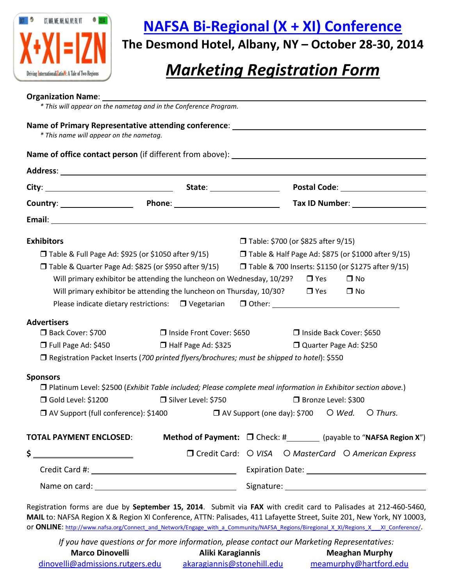

### **[NAFSA Bi-Regional \(X + XI\) Conference](http://www.nafsa.org/Connect_and_Network/Engage_with_a_Community/NAFSA_Regions/Biregional_X_XI/Regions_X___XI_Conference/)**

**The Desmond Hotel, Albany, NY – October 28-30, 2014**

### *Marketing Registration Form*

#### **Organization Name**:

*\* This will appear on the nametag and in the Conference Program.*

| * This name will appear on the nametag.                                                                                                                                                                                                                                                                             |                             | Name of Primary Representative attending conference: ___________________________                                                                                                                                               |  |
|---------------------------------------------------------------------------------------------------------------------------------------------------------------------------------------------------------------------------------------------------------------------------------------------------------------------|-----------------------------|--------------------------------------------------------------------------------------------------------------------------------------------------------------------------------------------------------------------------------|--|
|                                                                                                                                                                                                                                                                                                                     |                             |                                                                                                                                                                                                                                |  |
|                                                                                                                                                                                                                                                                                                                     |                             |                                                                                                                                                                                                                                |  |
|                                                                                                                                                                                                                                                                                                                     |                             | Tax ID Number: 1999 1999                                                                                                                                                                                                       |  |
|                                                                                                                                                                                                                                                                                                                     |                             |                                                                                                                                                                                                                                |  |
|                                                                                                                                                                                                                                                                                                                     |                             |                                                                                                                                                                                                                                |  |
| <b>Exhibitors</b>                                                                                                                                                                                                                                                                                                   |                             | □ Table: \$700 (or \$825 after 9/15)                                                                                                                                                                                           |  |
| $\Box$ Table & Full Page Ad: \$925 (or \$1050 after 9/15) $\Box$ Table & Half Page Ad: \$875 (or \$1000 after 9/15)                                                                                                                                                                                                 |                             |                                                                                                                                                                                                                                |  |
| $\Box$ Table & Quarter Page Ad: \$825 (or \$950 after 9/15) $\Box$ Table & 700 Inserts: \$1150 (or \$1275 after 9/15)                                                                                                                                                                                               |                             |                                                                                                                                                                                                                                |  |
|                                                                                                                                                                                                                                                                                                                     |                             | Will primary exhibitor be attending the luncheon on Wednesday, $10/29$ ? $\Box$ Yes<br>$\Box$ No                                                                                                                               |  |
|                                                                                                                                                                                                                                                                                                                     |                             | Will primary exhibitor be attending the luncheon on Thursday, $10/30$ ? $\Box$ Yes $\Box$ No                                                                                                                                   |  |
|                                                                                                                                                                                                                                                                                                                     |                             | Please indicate dietary restrictions: □ Vegetarian □ Other: ____________________                                                                                                                                               |  |
| <b>Advertisers</b>                                                                                                                                                                                                                                                                                                  |                             |                                                                                                                                                                                                                                |  |
| Back Cover: \$700                                                                                                                                                                                                                                                                                                   | □ Inside Front Cover: \$650 | □ Inside Back Cover: \$650                                                                                                                                                                                                     |  |
| $\Box$ Full Page Ad: \$450                                                                                                                                                                                                                                                                                          | Half Page Ad: \$325         | Quarter Page Ad: \$250                                                                                                                                                                                                         |  |
|                                                                                                                                                                                                                                                                                                                     |                             | $\Box$ Registration Packet Inserts (700 printed flyers/brochures; must be shipped to hotel): \$550                                                                                                                             |  |
| <b>Sponsors</b>                                                                                                                                                                                                                                                                                                     |                             | □ Platinum Level: \$2500 (Exhibit Table included; Please complete meal information in Exhibitor section above.)                                                                                                                |  |
| Gold Level: \$1200                                                                                                                                                                                                                                                                                                  | Silver Level: \$750         | □ Bronze Level: \$300                                                                                                                                                                                                          |  |
|                                                                                                                                                                                                                                                                                                                     |                             | $\Box$ AV Support (full conference): \$1400 $\Box$ AV Support (one day): \$700 $\Box$ Wed. $\Box$ Thurs.                                                                                                                       |  |
| <b>TOTAL PAYMENT ENCLOSED:</b>                                                                                                                                                                                                                                                                                      |                             | <b>Method of Payment:</b> $\Box$ Check: #__________ (payable to "NAFSA Region X")                                                                                                                                              |  |
| $\frac{1}{2}$ $\frac{1}{2}$ $\frac{1}{2}$ $\frac{1}{2}$ $\frac{1}{2}$ $\frac{1}{2}$ $\frac{1}{2}$ $\frac{1}{2}$ $\frac{1}{2}$ $\frac{1}{2}$ $\frac{1}{2}$ $\frac{1}{2}$ $\frac{1}{2}$ $\frac{1}{2}$ $\frac{1}{2}$ $\frac{1}{2}$ $\frac{1}{2}$ $\frac{1}{2}$ $\frac{1}{2}$ $\frac{1}{2}$ $\frac{1}{2}$ $\frac{1}{2}$ |                             | □ Credit Card: ○ VISA ○ MasterCard ○ American Express                                                                                                                                                                          |  |
|                                                                                                                                                                                                                                                                                                                     |                             |                                                                                                                                                                                                                                |  |
|                                                                                                                                                                                                                                                                                                                     |                             | Name on card: 1000 million and 2000 million and 2000 million and 2000 million and 2000 million and 2000 million and 2000 million and 2000 million and 2000 million and 2000 million and 2000 million and 2000 million and 2000 |  |

Registration forms are due by **September 15, 2014**. Submit via **FAX** with credit card to Palisades at 212-460-5460, **MAIL** to: NAFSA Region X & Region XI Conference, ATTN: Palisades, 411 Lafayette Street, Suite 201, New York, NY 10003, or **ONLINE**: http://www.nafsa.org/Connect\_and\_Network/Engage\_with\_a\_Community/NAFSA\_Regions/Biregional\_X\_XI/Regions\_X\_\_XI\_Conference/.

*If you have questions or for more information, please contact our Marketing Representatives:* **Marco Dinovelli Aliki Karagiannis Meaghan Murphy** [dinovelli@admissions.rutgers.edu](mailto:dinovelli@admissions.rutgers.edu) [akaragiannis@stonehill.edu](mailto:akaragiannis@stonehill.edu) meamurphy@hartford.edu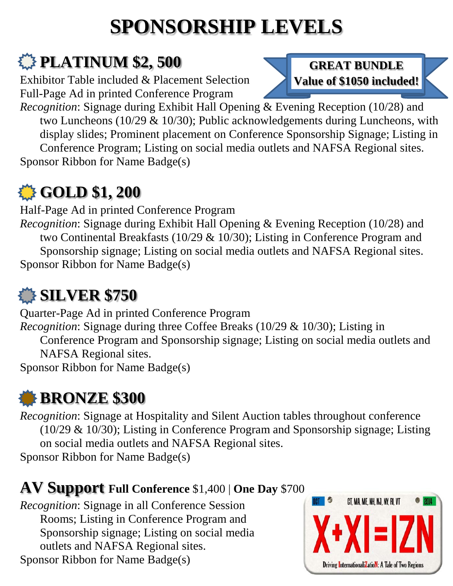# **SPONSORSHIP LEVELS**

# *<u>A</u>* **PLATINUM \$2, 500**

Exhibitor Table included & Placement Selection Full-Page Ad in printed Conference Program

*Recognition*: Signage during Exhibit Hall Opening & Evening Reception (10/28) and two Luncheons (10/29 & 10/30); Public acknowledgements during Luncheons, with display slides; Prominent placement on Conference Sponsorship Signage; Listing in Conference Program; Listing on social media outlets and NAFSA Regional sites. Sponsor Ribbon for Name Badge(s)

## **GOLD \$1, 200**

Half-Page Ad in printed Conference Program

*Recognition*: Signage during Exhibit Hall Opening & Evening Reception (10/28) and two Continental Breakfasts (10/29 & 10/30); Listing in Conference Program and Sponsorship signage; Listing on social media outlets and NAFSA Regional sites. Sponsor Ribbon for Name Badge(s)

# **SILVER \$750**

Quarter-Page Ad in printed Conference Program *Recognition*: Signage during three Coffee Breaks (10/29 & 10/30); Listing in Conference Program and Sponsorship signage; Listing on social media outlets and NAFSA Regional sites. Sponsor Ribbon for Name Badge(s)

# **BRONZE \$300**

*Recognition*: Signage at Hospitality and Silent Auction tables throughout conference (10/29 & 10/30); Listing in Conference Program and Sponsorship signage; Listing on social media outlets and NAFSA Regional sites. Sponsor Ribbon for Name Badge(s)

### **AV Support Full Conference** \$1,400 | **One Day** \$700

*Recognition*: Signage in all Conference Session Rooms; Listing in Conference Program and Sponsorship signage; Listing on social media outlets and NAFSA Regional sites. Sponsor Ribbon for Name Badge(s)